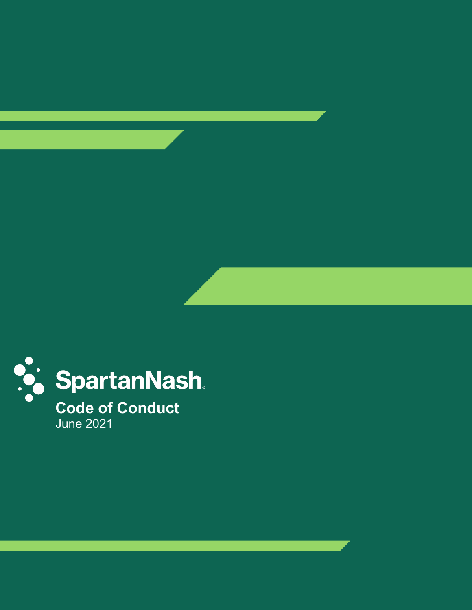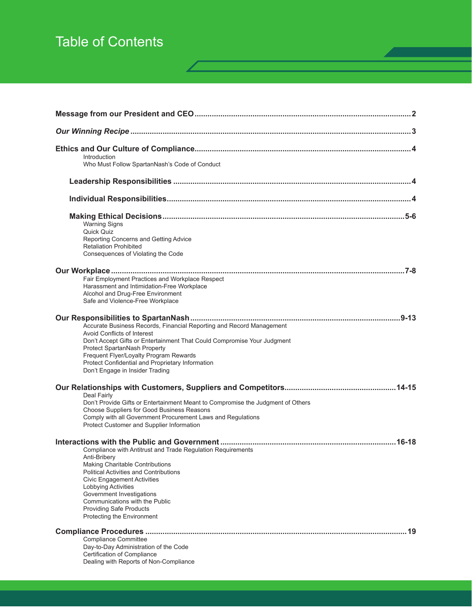# Table of Contents

| Introduction<br>Who Must Follow SpartanNash's Code of Conduct                                                                                                                                                                                                                                                                                               |
|-------------------------------------------------------------------------------------------------------------------------------------------------------------------------------------------------------------------------------------------------------------------------------------------------------------------------------------------------------------|
|                                                                                                                                                                                                                                                                                                                                                             |
|                                                                                                                                                                                                                                                                                                                                                             |
| <b>Warning Signs</b><br>Quick Quiz<br>Reporting Concerns and Getting Advice<br><b>Retaliation Prohibited</b><br>Consequences of Violating the Code                                                                                                                                                                                                          |
| Fair Employment Practices and Workplace Respect<br>Harassment and Intimidation-Free Workplace<br>Alcohol and Drug-Free Environment<br>Safe and Violence-Free Workplace                                                                                                                                                                                      |
| Accurate Business Records, Financial Reporting and Record Management<br><b>Avoid Conflicts of Interest</b><br>Don't Accept Gifts or Entertainment That Could Compromise Your Judgment<br>Protect SpartanNash Property<br>Frequent Flyer/Loyalty Program Rewards<br>Protect Confidential and Proprietary Information<br>Don't Engage in Insider Trading      |
| Deal Fairly<br>Don't Provide Gifts or Entertainment Meant to Compromise the Judgment of Others<br>Choose Suppliers for Good Business Reasons<br>Comply with all Government Procurement Laws and Regulations<br>Protect Customer and Supplier Information                                                                                                    |
| Compliance with Antitrust and Trade Regulation Reguirements<br>Anti-Bribery<br>Making Charitable Contributions<br><b>Political Activities and Contributions</b><br><b>Civic Engagement Activities</b><br>Lobbying Activities<br>Government Investigations<br>Communications with the Public<br><b>Providing Safe Products</b><br>Protecting the Environment |
| 19<br><b>Compliance Committee</b><br>Day-to-Day Administration of the Code<br>Certification of Compliance<br>Dealing with Reports of Non-Compliance                                                                                                                                                                                                         |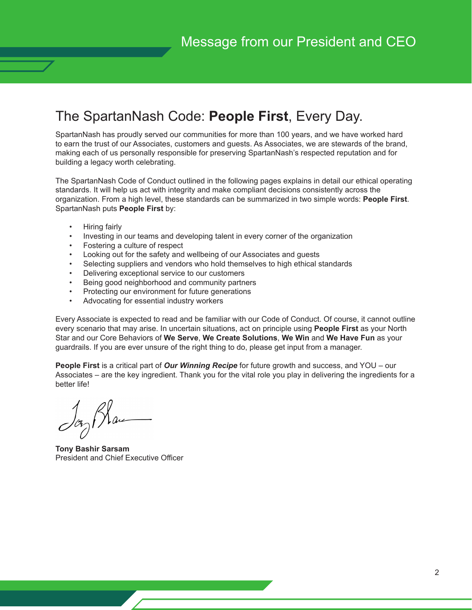## The SpartanNash Code: **People First**, Every Day.

SpartanNash has proudly served our communities for more than 100 years, and we have worked hard to earn the trust of our Associates, customers and guests. As Associates, we are stewards of the brand, making each of us personally responsible for preserving SpartanNash's respected reputation and for building a legacy worth celebrating.

The SpartanNash Code of Conduct outlined in the following pages explains in detail our ethical operating standards. It will help us act with integrity and make compliant decisions consistently across the organization. From a high level, these standards can be summarized in two simple words: **People First**. SpartanNash puts **People First** by:

- Hiring fairly
- Investing in our teams and developing talent in every corner of the organization
- Fostering a culture of respect
- Looking out for the safety and wellbeing of our Associates and guests
- Selecting suppliers and vendors who hold themselves to high ethical standards
- Delivering exceptional service to our customers
- Being good neighborhood and community partners
- Protecting our environment for future generations
- Advocating for essential industry workers

Every Associate is expected to read and be familiar with our Code of Conduct. Of course, it cannot outline every scenario that may arise. In uncertain situations, act on principle using **People First** as your North Star and our Core Behaviors of **We Serve**, **We Create Solutions**, **We Win** and **We Have Fun** as your guardrails. If you are ever unsure of the right thing to do, please get input from a manager.

**People First** is a critical part of *Our Winning Recipe* for future growth and success, and YOU – our Associates – are the key ingredient. Thank you for the vital role you play in delivering the ingredients for a better life!

**Tony Bashir Sarsam** President and Chief Executive Officer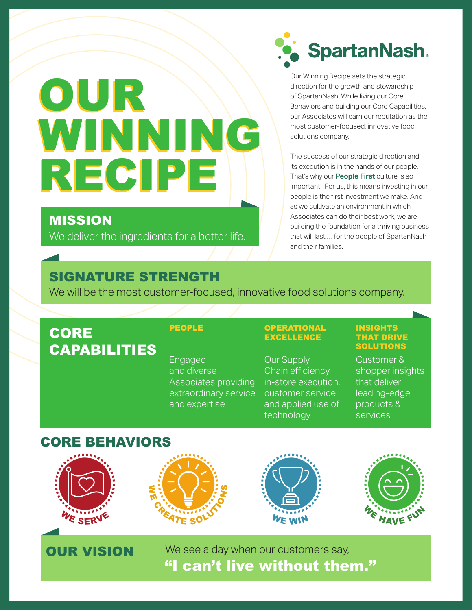# OUR OUR WINNING RECIPE RECIPE

## MISSION

We deliver the ingredients for a better life.



Our Winning Recipe sets the strategic direction for the growth and stewardship of SpartanNash. While living our Core Behaviors and building our Core Capabilities, our Associates will earn our reputation as the most customer-focused, innovative food solutions company.

The success of our strategic direction and its execution is in the hands of our people. That's why our **People First** culture is so important. For us, this means investing in our people is the first investment we make. And as we cultivate an environment in which Associates can do their best work, we are building the foundation for a thriving business that will last … for the people of SpartanNash and their families.

## SIGNATURE STRENGTH

We will be the most customer-focused, innovative food solutions company.

## **CORE** CAPABILITIES

Engaged and diverse Associates providing extraordinary service and expertise

### PEOPLE OPERATIONAL EXCELLENCE

Our Supply Chain efficiency, in-store execution, customer service and applied use of technology

#### INSIGHTS THAT DRIVE **SOLUTIONS**

Customer & shopper insights that deliver leading-edge products & services

## CORE BEHAVIORS









**OUR VISION** We see a day when our customers say, "I can't live without them."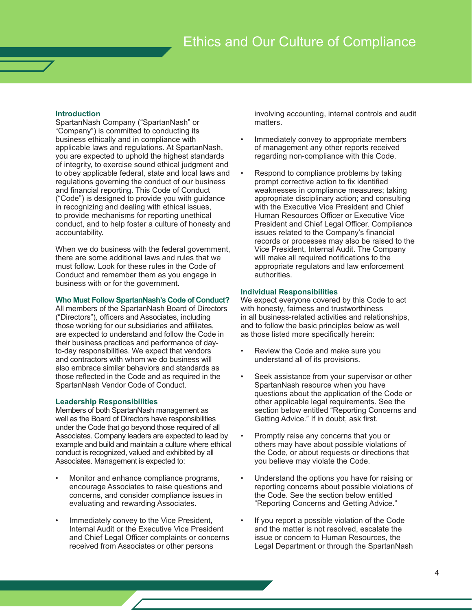#### **Introduction**

SpartanNash Company ("SpartanNash" or "Company") is committed to conducting its business ethically and in compliance with applicable laws and regulations. At SpartanNash, you are expected to uphold the highest standards of integrity, to exercise sound ethical judgment and to obey applicable federal, state and local laws and regulations governing the conduct of our business and financial reporting. This Code of Conduct ("Code") is designed to provide you with guidance in recognizing and dealing with ethical issues, to provide mechanisms for reporting unethical conduct, and to help foster a culture of honesty and accountability.

When we do business with the federal government, there are some additional laws and rules that we must follow. Look for these rules in the Code of Conduct and remember them as you engage in business with or for the government.

#### **Who Must Follow SpartanNash's Code of Conduct?**

All members of the SpartanNash Board of Directors ("Directors"), officers and Associates, including those working for our subsidiaries and affiliates, are expected to understand and follow the Code in their business practices and performance of dayto-day responsibilities. We expect that vendors and contractors with whom we do business will also embrace similar behaviors and standards as those reflected in the Code and as required in the SpartanNash Vendor Code of Conduct.

#### **Leadership Responsibilities**

Members of both SpartanNash management as well as the Board of Directors have responsibilities under the Code that go beyond those required of all Associates. Company leaders are expected to lead by example and build and maintain a culture where ethical conduct is recognized, valued and exhibited by all Associates. Management is expected to:

- Monitor and enhance compliance programs, encourage Associates to raise questions and concerns, and consider compliance issues in evaluating and rewarding Associates.
- Immediately convey to the Vice President, Internal Audit or the Executive Vice President and Chief Legal Officer complaints or concerns received from Associates or other persons

involving accounting, internal controls and audit matters.

- Immediately convey to appropriate members of management any other reports received regarding non-compliance with this Code.
- Respond to compliance problems by taking prompt corrective action to fix identified weaknesses in compliance measures; taking appropriate disciplinary action; and consulting with the Executive Vice President and Chief Human Resources Officer or Executive Vice President and Chief Legal Officer. Compliance issues related to the Company's financial records or processes may also be raised to the Vice President, Internal Audit. The Company will make all required notifications to the appropriate regulators and law enforcement authorities.

#### **Individual Responsibilities**

We expect everyone covered by this Code to act with honesty, fairness and trustworthiness in all business-related activities and relationships, and to follow the basic principles below as well as those listed more specifically herein:

- Review the Code and make sure you understand all of its provisions.
- Seek assistance from your supervisor or other SpartanNash resource when you have questions about the application of the Code or other applicable legal requirements. See the section below entitled "Reporting Concerns and Getting Advice." If in doubt, ask first.
- Promptly raise any concerns that you or others may have about possible violations of the Code, or about requests or directions that you believe may violate the Code.
- Understand the options you have for raising or reporting concerns about possible violations of the Code. See the section below entitled "Reporting Concerns and Getting Advice."
- If you report a possible violation of the Code and the matter is not resolved, escalate the issue or concern to Human Resources, the Legal Department or through the SpartanNash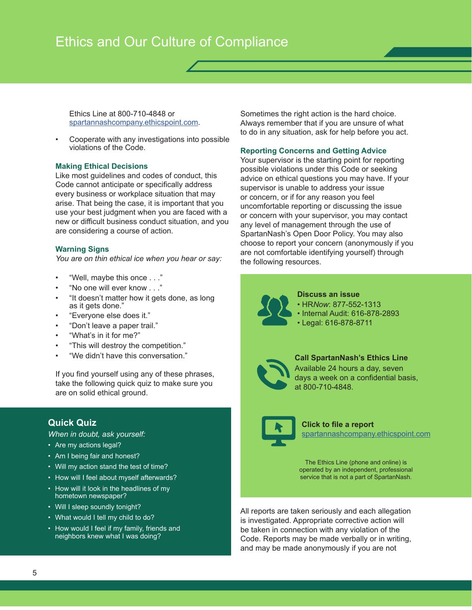Ethics Line at 800-710-4848 or spartannashcompany.ethicspoint.com.

• Cooperate with any investigations into possible violations of the Code.

#### **Making Ethical Decisions**

Like most guidelines and codes of conduct, this Code cannot anticipate or specifically address every business or workplace situation that may arise. That being the case, it is important that you use your best judgment when you are faced with a new or difficult business conduct situation, and you are considering a course of action.

#### **Warning Signs**

*You are on thin ethical ice when you hear or say:*

- "Well, maybe this once . . ."
- "No one will ever know . . ."
- "It doesn't matter how it gets done, as long as it gets done."
- "Everyone else does it."
- "Don't leave a paper trail."
- "What's in it for me?"
- "This will destroy the competition."
- "We didn't have this conversation."

If you find yourself using any of these phrases, take the following quick quiz to make sure you are on solid ethical ground.

#### **Quick Quiz**

*When in doubt, ask yourself:*

- Are my actions legal?
- Am I being fair and honest?
- Will my action stand the test of time?
- How will I feel about myself afterwards?
- How will it look in the headlines of my hometown newspaper?
- Will I sleep soundly tonight?
- What would I tell my child to do?
- How would I feel if my family, friends and neighbors knew what I was doing?

Sometimes the right action is the hard choice. Always remember that if you are unsure of what to do in any situation, ask for help before you act.

#### **Reporting Concerns and Getting Advice**

Your supervisor is the starting point for reporting possible violations under this Code or seeking advice on ethical questions you may have. If your supervisor is unable to address your issue or concern, or if for any reason you feel uncomfortable reporting or discussing the issue or concern with your supervisor, you may contact any level of management through the use of SpartanNash's Open Door Policy. You may also choose to report your concern (anonymously if you are not comfortable identifying yourself) through the following resources.



**Discuss an issue**

- HR*Now*: 877-552-1313
- Internal Audit: 616-878-2893
- Legal: 616-878-8711



## **Call SpartanNash's Ethics Line**

Available 24 hours a day, seven days a week on a confidential basis, at 800-710-4848.



#### spartannashcompany.ethicspoint.com **Click to file a report**

The Ethics Line (phone and online) is operated by an independent, professional service that is not a part of SpartanNash.

All reports are taken seriously and each allegation is investigated. Appropriate corrective action will be taken in connection with any violation of the Code. Reports may be made verbally or in writing, and may be made anonymously if you are not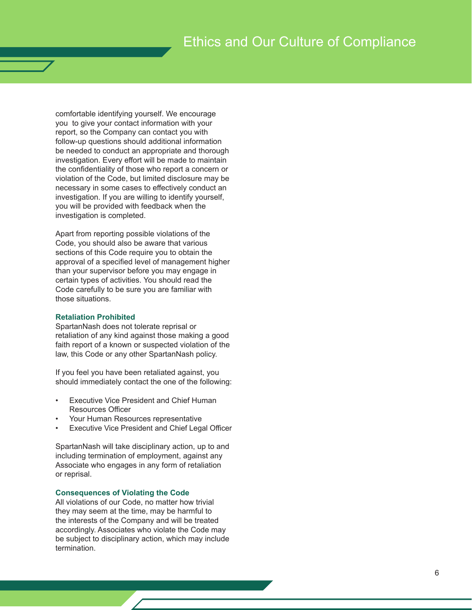comfortable identifying yourself. We encourage you to give your contact information with your report, so the Company can contact you with follow-up questions should additional information be needed to conduct an appropriate and thorough investigation. Every effort will be made to maintain the confidentiality of those who report a concern or violation of the Code, but limited disclosure may be necessary in some cases to effectively conduct an investigation. If you are willing to identify yourself, you will be provided with feedback when the investigation is completed.

Apart from reporting possible violations of the Code, you should also be aware that various sections of this Code require you to obtain the approval of a specified level of management higher than your supervisor before you may engage in certain types of activities. You should read the Code carefully to be sure you are familiar with those situations.

#### **Retaliation Prohibited**

SpartanNash does not tolerate reprisal or retaliation of any kind against those making a good faith report of a known or suspected violation of the law, this Code or any other SpartanNash policy.

If you feel you have been retaliated against, you should immediately contact the one of the following:

- **Executive Vice President and Chief Human** Resources Officer
- Your Human Resources representative
- **Executive Vice President and Chief Legal Officer**

SpartanNash will take disciplinary action, up to and including termination of employment, against any Associate who engages in any form of retaliation or reprisal.

#### **Consequences of Violating the Code**

All violations of our Code, no matter how trivial they may seem at the time, may be harmful to the interests of the Company and will be treated accordingly. Associates who violate the Code may be subject to disciplinary action, which may include termination.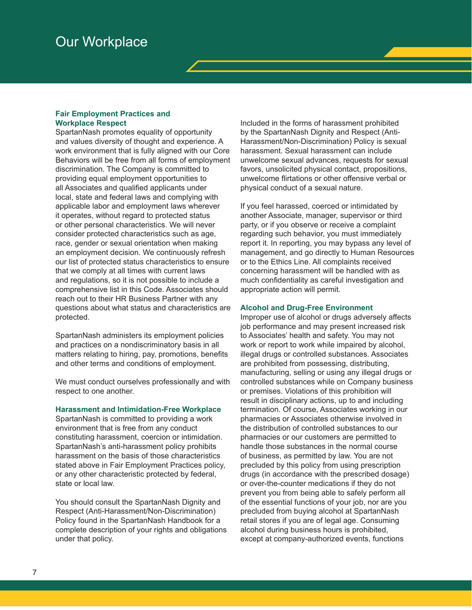## Our Workplace

#### **Fair Employment Practices and Workplace Respect**

SpartanNash promotes equality of opportunity and values diversity of thought and experience. A work environment that is fully aligned with our Core Behaviors will be free from all forms of employment discrimination. The Company is committed to providing equal employment opportunities to all Associates and qualified applicants under local, state and federal laws and complying with applicable labor and employment laws wherever it operates, without regard to protected status or other personal characteristics. We will never consider protected characteristics such as age, race, gender or sexual orientation when making an employment decision. We continuously refresh our list of protected status characteristics to ensure that we comply at all times with current laws and regulations, so it is not possible to include a comprehensive list in this Code. Associates should reach out to their HR Business Partner with any questions about what status and characteristics are protected.

SpartanNash administers its employment policies and practices on a nondiscriminatory basis in all matters relating to hiring, pay, promotions, benefits and other terms and conditions of employment.

We must conduct ourselves professionally and with respect to one another.

#### **Harassment and Intimidation-Free Workplace**

SpartanNash is committed to providing a work environment that is free from any conduct constituting harassment, coercion or intimidation. SpartanNash's anti-harassment policy prohibits harassment on the basis of those characteristics stated above in Fair Employment Practices policy, or any other characteristic protected by federal, state or local law.

You should consult the SpartanNash Dignity and Respect (Anti-Harassment/Non-Discrimination) Policy found in the SpartanNash Handbook for a complete description of your rights and obligations under that policy.

Included in the forms of harassment prohibited by the SpartanNash Dignity and Respect (Anti-Harassment/Non-Discrimination) Policy is sexual harassment. Sexual harassment can include unwelcome sexual advances, requests for sexual favors, unsolicited physical contact, propositions, unwelcome flirtations or other offensive verbal or physical conduct of a sexual nature.

If you feel harassed, coerced or intimidated by another Associate, manager, supervisor or third party, or if you observe or receive a complaint regarding such behavior, you must immediately report it. In reporting, you may bypass any level of management, and go directly to Human Resources or to the Ethics Line. All complaints received concerning harassment will be handled with as much confidentiality as careful investigation and appropriate action will permit.

#### **Alcohol and Drug-Free Environment**

Improper use of alcohol or drugs adversely affects job performance and may present increased risk to Associates' health and safety. You may not work or report to work while impaired by alcohol, illegal drugs or controlled substances. Associates are prohibited from possessing, distributing, manufacturing, selling or using any illegal drugs or controlled substances while on Company business or premises. Violations of this prohibition will result in disciplinary actions, up to and including termination. Of course, Associates working in our pharmacies or Associates otherwise involved in the distribution of controlled substances to our pharmacies or our customers are permitted to handle those substances in the normal course of business, as permitted by law. You are not precluded by this policy from using prescription drugs (in accordance with the prescribed dosage) or over-the-counter medications if they do not prevent you from being able to safely perform all of the essential functions of your job, nor are you precluded from buying alcohol at SpartanNash retail stores if you are of legal age. Consuming alcohol during business hours is prohibited, except at company-authorized events, functions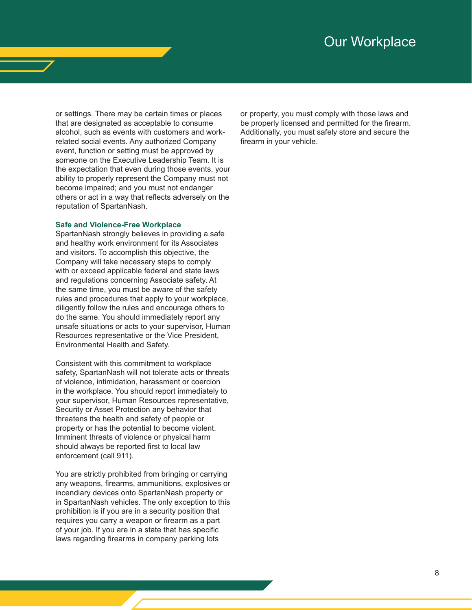## Our Workplace

or settings. There may be certain times or places that are designated as acceptable to consume alcohol, such as events with customers and workrelated social events. Any authorized Company event, function or setting must be approved by someone on the Executive Leadership Team. It is the expectation that even during those events, your ability to properly represent the Company must not become impaired; and you must not endanger others or act in a way that reflects adversely on the reputation of SpartanNash.

#### **Safe and Violence-Free Workplace**

SpartanNash strongly believes in providing a safe and healthy work environment for its Associates and visitors. To accomplish this objective, the Company will take necessary steps to comply with or exceed applicable federal and state laws and regulations concerning Associate safety. At the same time, you must be aware of the safety rules and procedures that apply to your workplace, diligently follow the rules and encourage others to do the same. You should immediately report any unsafe situations or acts to your supervisor, Human Resources representative or the Vice President, Environmental Health and Safety.

Consistent with this commitment to workplace safety, SpartanNash will not tolerate acts or threats of violence, intimidation, harassment or coercion in the workplace. You should report immediately to your supervisor, Human Resources representative, Security or Asset Protection any behavior that threatens the health and safety of people or property or has the potential to become violent. Imminent threats of violence or physical harm should always be reported first to local law enforcement (call 911).

You are strictly prohibited from bringing or carrying any weapons, firearms, ammunitions, explosives or incendiary devices onto SpartanNash property or in SpartanNash vehicles. The only exception to this prohibition is if you are in a security position that requires you carry a weapon or firearm as a part of your job. If you are in a state that has specific laws regarding firearms in company parking lots

or property, you must comply with those laws and be properly licensed and permitted for the firearm. Additionally, you must safely store and secure the firearm in your vehicle.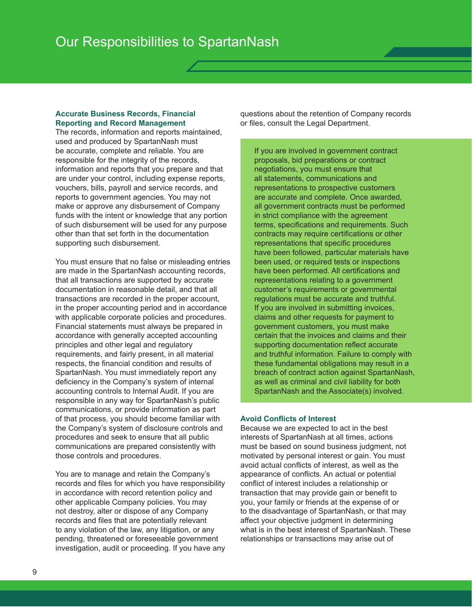#### **Accurate Business Records, Financial Reporting and Record Management**

The records, information and reports maintained, used and produced by SpartanNash must be accurate, complete and reliable. You are responsible for the integrity of the records, information and reports that you prepare and that are under your control, including expense reports, vouchers, bills, payroll and service records, and reports to government agencies. You may not make or approve any disbursement of Company funds with the intent or knowledge that any portion of such disbursement will be used for any purpose other than that set forth in the documentation supporting such disbursement.

You must ensure that no false or misleading entries are made in the SpartanNash accounting records, that all transactions are supported by accurate documentation in reasonable detail, and that all transactions are recorded in the proper account, in the proper accounting period and in accordance with applicable corporate policies and procedures. Financial statements must always be prepared in accordance with generally accepted accounting principles and other legal and regulatory requirements, and fairly present, in all material respects, the financial condition and results of SpartanNash. You must immediately report any deficiency in the Company's system of internal accounting controls to Internal Audit. If you are responsible in any way for SpartanNash's public communications, or provide information as part of that process, you should become familiar with the Company's system of disclosure controls and procedures and seek to ensure that all public communications are prepared consistently with those controls and procedures.

You are to manage and retain the Company's records and files for which you have responsibility in accordance with record retention policy and other applicable Company policies. You may not destroy, alter or dispose of any Company records and files that are potentially relevant to any violation of the law, any litigation, or any pending, threatened or foreseeable government investigation, audit or proceeding. If you have any questions about the retention of Company records or files, consult the Legal Department.

If you are involved in government contract proposals, bid preparations or contract negotiations, you must ensure that all statements, communications and representations to prospective customers are accurate and complete. Once awarded, all government contracts must be performed in strict compliance with the agreement terms, specifications and requirements. Such contracts may require certifications or other representations that specific procedures have been followed, particular materials have been used, or required tests or inspections have been performed. All certifications and representations relating to a government customer's requirements or governmental regulations must be accurate and truthful. If you are involved in submitting invoices, claims and other requests for payment to government customers, you must make certain that the invoices and claims and their supporting documentation reflect accurate and truthful information. Failure to comply with these fundamental obligations may result in a breach of contract action against SpartanNash, as well as criminal and civil liability for both SpartanNash and the Associate(s) involved.

#### **Avoid Conflicts of Interest**

Because we are expected to act in the best interests of SpartanNash at all times, actions must be based on sound business judgment, not motivated by personal interest or gain. You must avoid actual conflicts of interest, as well as the appearance of conflicts. An actual or potential conflict of interest includes a relationship or transaction that may provide gain or benefit to you, your family or friends at the expense of or to the disadvantage of SpartanNash, or that may affect your objective judgment in determining what is in the best interest of SpartanNash. These relationships or transactions may arise out of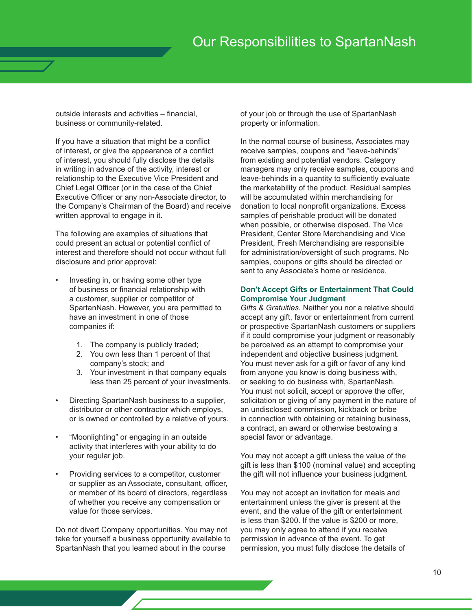outside interests and activities – financial, business or community-related.

If you have a situation that might be a conflict of interest, or give the appearance of a conflict of interest, you should fully disclose the details in writing in advance of the activity, interest or relationship to the Executive Vice President and Chief Legal Officer (or in the case of the Chief Executive Officer or any non-Associate director, to the Company's Chairman of the Board) and receive written approval to engage in it.

The following are examples of situations that could present an actual or potential conflict of interest and therefore should not occur without full disclosure and prior approval:

- Investing in, or having some other type of business or financial relationship with a customer, supplier or competitor of SpartanNash. However, you are permitted to have an investment in one of those companies if:
	- 1. The company is publicly traded;
	- 2. You own less than 1 percent of that company's stock; and
	- 3. Your investment in that company equals less than 25 percent of your investments.
- Directing SpartanNash business to a supplier, distributor or other contractor which employs, or is owned or controlled by a relative of yours.
- "Moonlighting" or engaging in an outside activity that interferes with your ability to do your regular job.
- Providing services to a competitor, customer or supplier as an Associate, consultant, officer, or member of its board of directors, regardless of whether you receive any compensation or value for those services.

Do not divert Company opportunities. You may not take for yourself a business opportunity available to SpartanNash that you learned about in the course

of your job or through the use of SpartanNash property or information.

In the normal course of business, Associates may receive samples, coupons and "leave-behinds" from existing and potential vendors. Category managers may only receive samples, coupons and leave-behinds in a quantity to sufficiently evaluate the marketability of the product. Residual samples will be accumulated within merchandising for donation to local nonprofit organizations. Excess samples of perishable product will be donated when possible, or otherwise disposed. The Vice President, Center Store Merchandising and Vice President, Fresh Merchandising are responsible for administration/oversight of such programs. No samples, coupons or gifts should be directed or sent to any Associate's home or residence.

#### **Don't Accept Gifts or Entertainment That Could Compromise Your Judgment**

*Gifts & Gratuities.* Neither you nor a relative should accept any gift, favor or entertainment from current or prospective SpartanNash customers or suppliers if it could compromise your judgment or reasonably be perceived as an attempt to compromise your independent and objective business judgment. You must never ask for a gift or favor of any kind from anyone you know is doing business with, or seeking to do business with, SpartanNash. You must not solicit, accept or approve the offer, solicitation or giving of any payment in the nature of an undisclosed commission, kickback or bribe in connection with obtaining or retaining business, a contract, an award or otherwise bestowing a special favor or advantage.

You may not accept a gift unless the value of the gift is less than \$100 (nominal value) and accepting the gift will not influence your business judgment.

You may not accept an invitation for meals and entertainment unless the giver is present at the event, and the value of the gift or entertainment is less than \$200. If the value is \$200 or more, you may only agree to attend if you receive permission in advance of the event. To get permission, you must fully disclose the details of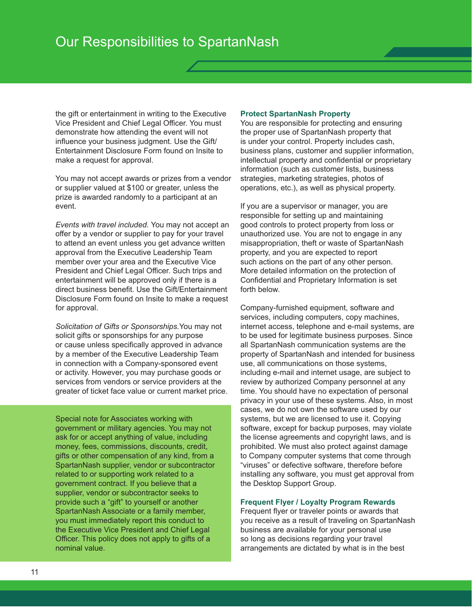the gift or entertainment in writing to the Executive Vice President and Chief Legal Officer. You must demonstrate how attending the event will not influence your business judgment. Use the Gift/ Entertainment Disclosure Form found on Insite to make a request for approval.

You may not accept awards or prizes from a vendor or supplier valued at \$100 or greater, unless the prize is awarded randomly to a participant at an event.

*Events with travel included.* You may not accept an offer by a vendor or supplier to pay for your travel to attend an event unless you get advance written approval from the Executive Leadership Team member over your area and the Executive Vice President and Chief Legal Officer. Such trips and entertainment will be approved only if there is a direct business benefit. Use the Gift/Entertainment Disclosure Form found on Insite to make a request for approval.

*Solicitation of Gifts or Sponsorships.*You may not solicit gifts or sponsorships for any purpose or cause unless specifically approved in advance by a member of the Executive Leadership Team in connection with a Company-sponsored event or activity. However, you may purchase goods or services from vendors or service providers at the greater of ticket face value or current market price.

Special note for Associates working with government or military agencies. You may not ask for or accept anything of value, including money, fees, commissions, discounts, credit, gifts or other compensation of any kind, from a SpartanNash supplier, vendor or subcontractor related to or supporting work related to a government contract. If you believe that a supplier, vendor or subcontractor seeks to provide such a "gift" to yourself or another SpartanNash Associate or a family member, you must immediately report this conduct to the Executive Vice President and Chief Legal Officer. This policy does not apply to gifts of a nominal value.

#### **Protect SpartanNash Property**

You are responsible for protecting and ensuring the proper use of SpartanNash property that is under your control. Property includes cash, business plans, customer and supplier information, intellectual property and confidential or proprietary information (such as customer lists, business strategies, marketing strategies, photos of operations, etc.), as well as physical property.

If you are a supervisor or manager, you are responsible for setting up and maintaining good controls to protect property from loss or unauthorized use. You are not to engage in any misappropriation, theft or waste of SpartanNash property, and you are expected to report such actions on the part of any other person. More detailed information on the protection of Confidential and Proprietary Information is set forth below.

Company-furnished equipment, software and services, including computers, copy machines, internet access, telephone and e-mail systems, are to be used for legitimate business purposes. Since all SpartanNash communication systems are the property of SpartanNash and intended for business use, all communications on those systems, including e-mail and internet usage, are subject to review by authorized Company personnel at any time. You should have no expectation of personal privacy in your use of these systems. Also, in most cases, we do not own the software used by our systems, but we are licensed to use it. Copying software, except for backup purposes, may violate the license agreements and copyright laws, and is prohibited. We must also protect against damage to Company computer systems that come through "viruses" or defective software, therefore before installing any software, you must get approval from the Desktop Support Group.

#### **Frequent Flyer / Loyalty Program Rewards**

Frequent flyer or traveler points or awards that you receive as a result of traveling on SpartanNash business are available for your personal use so long as decisions regarding your travel arrangements are dictated by what is in the best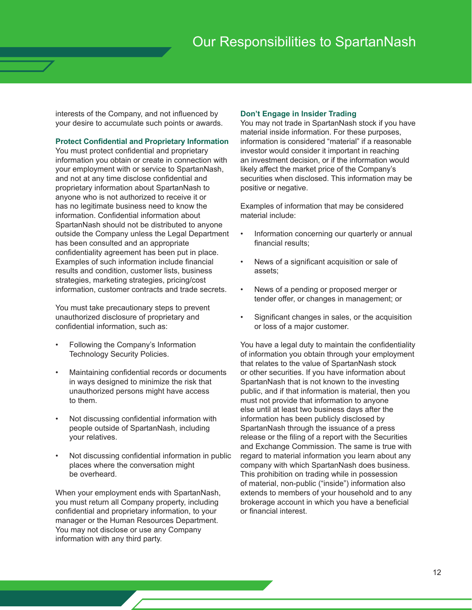interests of the Company, and not influenced by your desire to accumulate such points or awards.

#### **Protect Confidential and Proprietary Information**

You must protect confidential and proprietary information you obtain or create in connection with your employment with or service to SpartanNash, and not at any time disclose confidential and proprietary information about SpartanNash to anyone who is not authorized to receive it or has no legitimate business need to know the information. Confidential information about SpartanNash should not be distributed to anyone outside the Company unless the Legal Department has been consulted and an appropriate confidentiality agreement has been put in place. Examples of such information include financial results and condition, customer lists, business strategies, marketing strategies, pricing/cost information, customer contracts and trade secrets.

You must take precautionary steps to prevent unauthorized disclosure of proprietary and confidential information, such as:

- Following the Company's Information Technology Security Policies.
- Maintaining confidential records or documents in ways designed to minimize the risk that unauthorized persons might have access to them.
- Not discussing confidential information with people outside of SpartanNash, including your relatives.
- Not discussing confidential information in public places where the conversation might be overheard.

When your employment ends with SpartanNash, you must return all Company property, including confidential and proprietary information, to your manager or the Human Resources Department. You may not disclose or use any Company information with any third party.

#### **Don't Engage in Insider Trading**

You may not trade in SpartanNash stock if you have material inside information. For these purposes, information is considered "material" if a reasonable investor would consider it important in reaching an investment decision, or if the information would likely affect the market price of the Company's securities when disclosed. This information may be positive or negative.

Examples of information that may be considered material include:

- Information concerning our quarterly or annual financial results;
- News of a significant acquisition or sale of assets;
- News of a pending or proposed merger or tender offer, or changes in management; or
- Significant changes in sales, or the acquisition or loss of a major customer.

You have a legal duty to maintain the confidentiality of information you obtain through your employment that relates to the value of SpartanNash stock or other securities. If you have information about SpartanNash that is not known to the investing public, and if that information is material, then you must not provide that information to anyone else until at least two business days after the information has been publicly disclosed by SpartanNash through the issuance of a press release or the filing of a report with the Securities and Exchange Commission. The same is true with regard to material information you learn about any company with which SpartanNash does business. This prohibition on trading while in possession of material, non-public ("inside") information also extends to members of your household and to any brokerage account in which you have a beneficial or financial interest.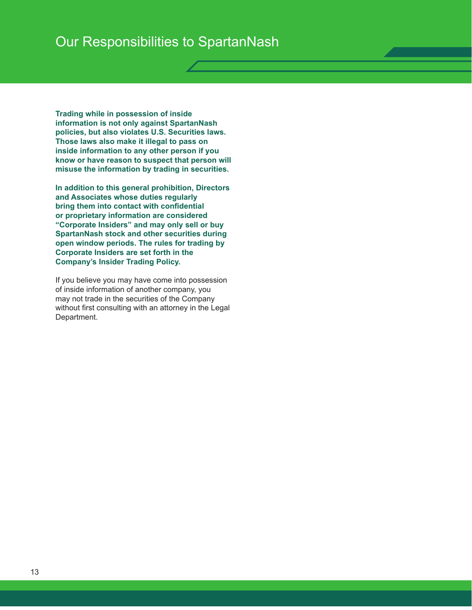**Trading while in possession of inside information is not only against SpartanNash policies, but also violates U.S. Securities laws. Those laws also make it illegal to pass on inside information to any other person if you know or have reason to suspect that person will misuse the information by trading in securities.**

**In addition to this general prohibition, Directors and Associates whose duties regularly bring them into contact with confidential or proprietary information are considered "Corporate Insiders" and may only sell or buy SpartanNash stock and other securities during open window periods. The rules for trading by Corporate Insiders are set forth in the Company's Insider Trading Policy.**

If you believe you may have come into possession of inside information of another company, you may not trade in the securities of the Company without first consulting with an attorney in the Legal Department.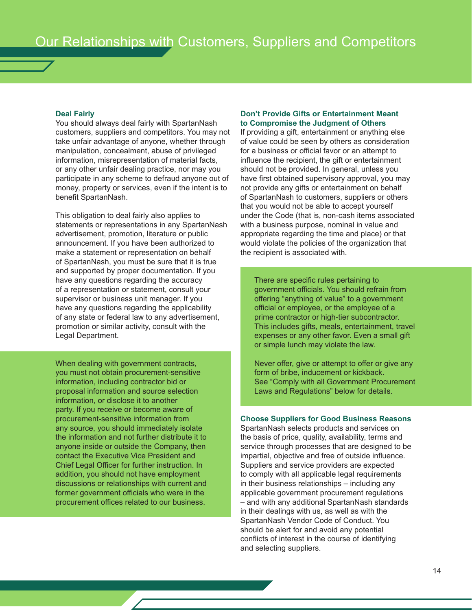#### **Deal Fairly**

You should always deal fairly with SpartanNash customers, suppliers and competitors. You may not take unfair advantage of anyone, whether through manipulation, concealment, abuse of privileged information, misrepresentation of material facts, or any other unfair dealing practice, nor may you participate in any scheme to defraud anyone out of money, property or services, even if the intent is to benefit SpartanNash.

This obligation to deal fairly also applies to statements or representations in any SpartanNash advertisement, promotion, literature or public announcement. If you have been authorized to make a statement or representation on behalf of SpartanNash, you must be sure that it is true and supported by proper documentation. If you have any questions regarding the accuracy of a representation or statement, consult your supervisor or business unit manager. If you have any questions regarding the applicability of any state or federal law to any advertisement, promotion or similar activity, consult with the Legal Department.

When dealing with government contracts, you must not obtain procurement-sensitive information, including contractor bid or proposal information and source selection information, or disclose it to another party. If you receive or become aware of procurement-sensitive information from any source, you should immediately isolate the information and not further distribute it to anyone inside or outside the Company, then contact the Executive Vice President and Chief Legal Officer for further instruction. In addition, you should not have employment discussions or relationships with current and former government officials who were in the procurement offices related to our business.

#### **Don't Provide Gifts or Entertainment Meant to Compromise the Judgment of Others**

If providing a gift, entertainment or anything else of value could be seen by others as consideration for a business or official favor or an attempt to influence the recipient, the gift or entertainment should not be provided. In general, unless you have first obtained supervisory approval, you may not provide any gifts or entertainment on behalf of SpartanNash to customers, suppliers or others that you would not be able to accept yourself under the Code (that is, non-cash items associated with a business purpose, nominal in value and appropriate regarding the time and place) or that would violate the policies of the organization that the recipient is associated with.

There are specific rules pertaining to government officials. You should refrain from offering "anything of value" to a government official or employee, or the employee of a prime contractor or high-tier subcontractor. This includes gifts, meals, entertainment, travel expenses or any other favor. Even a small gift or simple lunch may violate the law.

Never offer, give or attempt to offer or give any form of bribe, inducement or kickback. See "Comply with all Government Procurement Laws and Regulations" below for details.

#### **Choose Suppliers for Good Business Reasons**

SpartanNash selects products and services on the basis of price, quality, availability, terms and service through processes that are designed to be impartial, objective and free of outside influence. Suppliers and service providers are expected to comply with all applicable legal requirements in their business relationships – including any applicable government procurement regulations – and with any additional SpartanNash standards in their dealings with us, as well as with the SpartanNash Vendor Code of Conduct. You should be alert for and avoid any potential conflicts of interest in the course of identifying and selecting suppliers.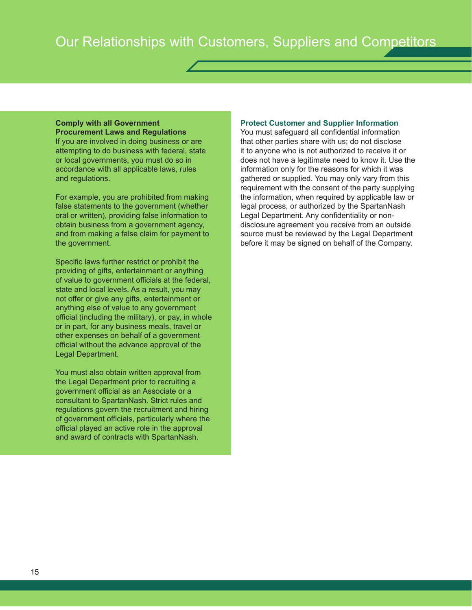#### **Comply with all Government Procurement Laws and Regulations**

If you are involved in doing business or are attempting to do business with federal, state or local governments, you must do so in accordance with all applicable laws, rules and regulations.

For example, you are prohibited from making false statements to the government (whether oral or written), providing false information to obtain business from a government agency, and from making a false claim for payment to the government.

Specific laws further restrict or prohibit the providing of gifts, entertainment or anything of value to government officials at the federal, state and local levels. As a result, you may not offer or give any gifts, entertainment or anything else of value to any government official (including the military), or pay, in whole or in part, for any business meals, travel or other expenses on behalf of a government official without the advance approval of the Legal Department.

You must also obtain written approval from the Legal Department prior to recruiting a government official as an Associate or a consultant to SpartanNash. Strict rules and regulations govern the recruitment and hiring of government officials, particularly where the official played an active role in the approval and award of contracts with SpartanNash.

#### **Protect Customer and Supplier Information**

You must safeguard all confidential information that other parties share with us; do not disclose it to anyone who is not authorized to receive it or does not have a legitimate need to know it. Use the information only for the reasons for which it was gathered or supplied. You may only vary from this requirement with the consent of the party supplying the information, when required by applicable law or legal process, or authorized by the SpartanNash Legal Department. Any confidentiality or nondisclosure agreement you receive from an outside source must be reviewed by the Legal Department before it may be signed on behalf of the Company.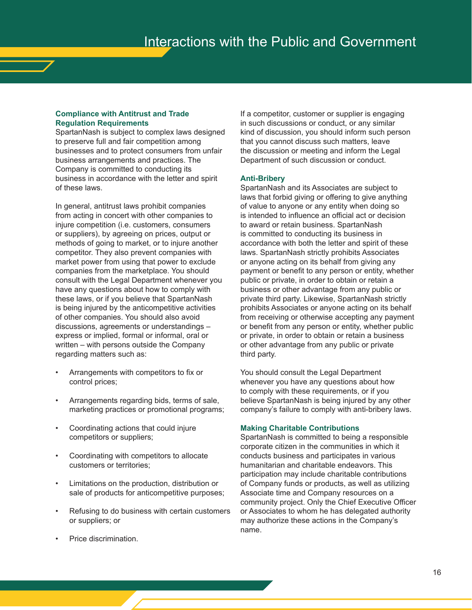#### **Compliance with Antitrust and Trade Regulation Requirements**

SpartanNash is subject to complex laws designed to preserve full and fair competition among businesses and to protect consumers from unfair business arrangements and practices. The Company is committed to conducting its business in accordance with the letter and spirit of these laws.

In general, antitrust laws prohibit companies from acting in concert with other companies to injure competition (i.e. customers, consumers or suppliers), by agreeing on prices, output or methods of going to market, or to injure another competitor. They also prevent companies with market power from using that power to exclude companies from the marketplace. You should consult with the Legal Department whenever you have any questions about how to comply with these laws, or if you believe that SpartanNash is being injured by the anticompetitive activities of other companies. You should also avoid discussions, agreements or understandings – express or implied, formal or informal, oral or written – with persons outside the Company regarding matters such as:

- Arrangements with competitors to fix or control prices;
- Arrangements regarding bids, terms of sale, marketing practices or promotional programs;
- Coordinating actions that could injure competitors or suppliers;
- Coordinating with competitors to allocate customers or territories;
- Limitations on the production, distribution or sale of products for anticompetitive purposes;
- Refusing to do business with certain customers or suppliers; or
- Price discrimination.

If a competitor, customer or supplier is engaging in such discussions or conduct, or any similar kind of discussion, you should inform such person that you cannot discuss such matters, leave the discussion or meeting and inform the Legal Department of such discussion or conduct.

#### **Anti-Bribery**

SpartanNash and its Associates are subject to laws that forbid giving or offering to give anything of value to anyone or any entity when doing so is intended to influence an official act or decision to award or retain business. SpartanNash is committed to conducting its business in accordance with both the letter and spirit of these laws. SpartanNash strictly prohibits Associates or anyone acting on its behalf from giving any payment or benefit to any person or entity, whether public or private, in order to obtain or retain a business or other advantage from any public or private third party. Likewise, SpartanNash strictly prohibits Associates or anyone acting on its behalf from receiving or otherwise accepting any payment or benefit from any person or entity, whether public or private, in order to obtain or retain a business or other advantage from any public or private third party.

You should consult the Legal Department whenever you have any questions about how to comply with these requirements, or if you believe SpartanNash is being injured by any other company's failure to comply with anti-bribery laws.

#### **Making Charitable Contributions**

SpartanNash is committed to being a responsible corporate citizen in the communities in which it conducts business and participates in various humanitarian and charitable endeavors. This participation may include charitable contributions of Company funds or products, as well as utilizing Associate time and Company resources on a community project. Only the Chief Executive Officer or Associates to whom he has delegated authority may authorize these actions in the Company's name.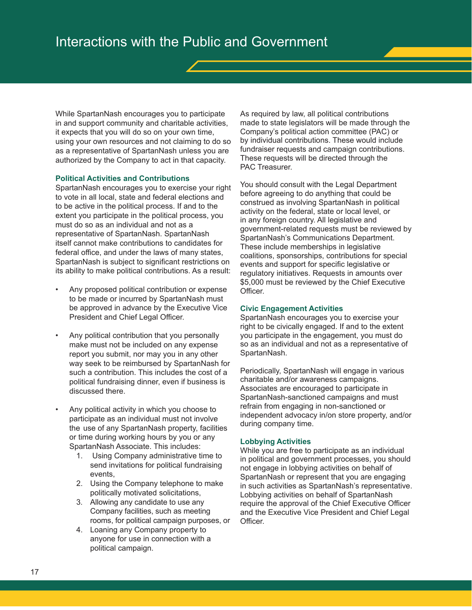While SpartanNash encourages you to participate in and support community and charitable activities, it expects that you will do so on your own time, using your own resources and not claiming to do so as a representative of SpartanNash unless you are authorized by the Company to act in that capacity.

#### **Political Activities and Contributions**

SpartanNash encourages you to exercise your right to vote in all local, state and federal elections and to be active in the political process. If and to the extent you participate in the political process, you must do so as an individual and not as a representative of SpartanNash. SpartanNash itself cannot make contributions to candidates for federal office, and under the laws of many states, SpartanNash is subject to significant restrictions on its ability to make political contributions. As a result:

- Any proposed political contribution or expense to be made or incurred by SpartanNash must be approved in advance by the Executive Vice President and Chief Legal Officer.
- Any political contribution that you personally make must not be included on any expense report you submit, nor may you in any other way seek to be reimbursed by SpartanNash for such a contribution. This includes the cost of a political fundraising dinner, even if business is discussed there.
- Any political activity in which you choose to participate as an individual must not involve the use of any SpartanNash property, facilities or time during working hours by you or any SpartanNash Associate. This includes:
	- 1. Using Company administrative time to send invitations for political fundraising events,
	- 2. Using the Company telephone to make politically motivated solicitations,
	- 3. Allowing any candidate to use any Company facilities, such as meeting rooms, for political campaign purposes, or
	- 4. Loaning any Company property to anyone for use in connection with a political campaign.

As required by law, all political contributions made to state legislators will be made through the Company's political action committee (PAC) or by individual contributions. These would include fundraiser requests and campaign contributions. These requests will be directed through the PAC Treasurer.

You should consult with the Legal Department before agreeing to do anything that could be construed as involving SpartanNash in political activity on the federal, state or local level, or in any foreign country. All legislative and government-related requests must be reviewed by SpartanNash's Communications Department. These include memberships in legislative coalitions, sponsorships, contributions for special events and support for specific legislative or regulatory initiatives. Requests in amounts over \$5,000 must be reviewed by the Chief Executive Officer.

#### **Civic Engagement Activities**

SpartanNash encourages you to exercise your right to be civically engaged. If and to the extent you participate in the engagement, you must do so as an individual and not as a representative of SpartanNash.

Periodically, SpartanNash will engage in various charitable and/or awareness campaigns. Associates are encouraged to participate in SpartanNash-sanctioned campaigns and must refrain from engaging in non-sanctioned or independent advocacy in/on store property, and/or during company time.

#### **Lobbying Activities**

While you are free to participate as an individual in political and government processes, you should not engage in lobbying activities on behalf of SpartanNash or represent that you are engaging in such activities as SpartanNash's representative. Lobbying activities on behalf of SpartanNash require the approval of the Chief Executive Officer and the Executive Vice President and Chief Legal Officer.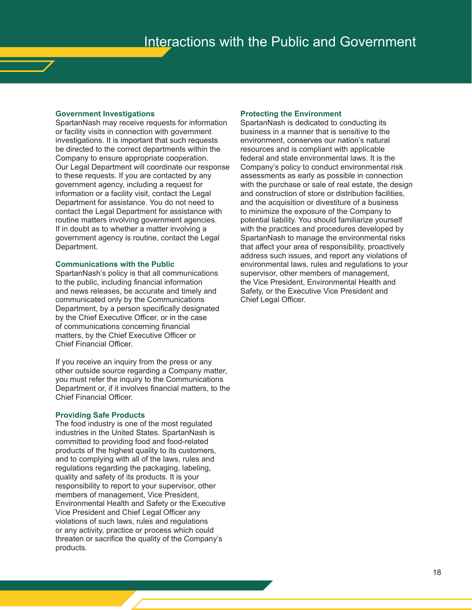#### **Government Investigations**

SpartanNash may receive requests for information or facility visits in connection with government investigations. It is important that such requests be directed to the correct departments within the Company to ensure appropriate cooperation. Our Legal Department will coordinate our response to these requests. If you are contacted by any government agency, including a request for information or a facility visit, contact the Legal Department for assistance. You do not need to contact the Legal Department for assistance with routine matters involving government agencies. If in doubt as to whether a matter involving a government agency is routine, contact the Legal Department.

#### **Communications with the Public**

SpartanNash's policy is that all communications to the public, including financial information and news releases, be accurate and timely and communicated only by the Communications Department, by a person specifically designated by the Chief Executive Officer, or in the case of communications concerning financial matters, by the Chief Executive Officer or Chief Financial Officer.

If you receive an inquiry from the press or any other outside source regarding a Company matter, you must refer the inquiry to the Communications Department or, if it involves financial matters, to the Chief Financial Officer.

#### **Providing Safe Products**

The food industry is one of the most regulated industries in the United States. SpartanNash is committed to providing food and food-related products of the highest quality to its customers, and to complying with all of the laws, rules and regulations regarding the packaging, labeling, quality and safety of its products. It is your responsibility to report to your supervisor, other members of management, Vice President, Environmental Health and Safety or the Executive Vice President and Chief Legal Officer any violations of such laws, rules and regulations or any activity, practice or process which could threaten or sacrifice the quality of the Company's products.

#### **Protecting the Environment**

SpartanNash is dedicated to conducting its business in a manner that is sensitive to the environment, conserves our nation's natural resources and is compliant with applicable federal and state environmental laws. It is the Company's policy to conduct environmental risk assessments as early as possible in connection with the purchase or sale of real estate, the design and construction of store or distribution facilities, and the acquisition or divestiture of a business to minimize the exposure of the Company to potential liability. You should familiarize yourself with the practices and procedures developed by SpartanNash to manage the environmental risks that affect your area of responsibility, proactively address such issues, and report any violations of environmental laws, rules and regulations to your supervisor, other members of management, the Vice President, Environmental Health and Safety, or the Executive Vice President and Chief Legal Officer.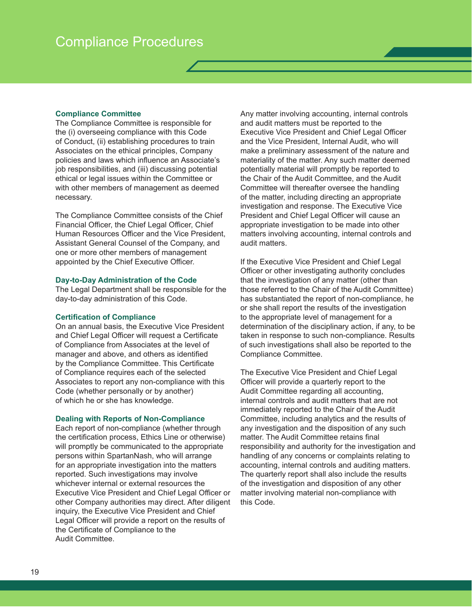#### **Compliance Committee**

The Compliance Committee is responsible for the (i) overseeing compliance with this Code of Conduct, (ii) establishing procedures to train Associates on the ethical principles, Company policies and laws which influence an Associate's job responsibilities, and (iii) discussing potential ethical or legal issues within the Committee or with other members of management as deemed necessary.

The Compliance Committee consists of the Chief Financial Officer, the Chief Legal Officer, Chief Human Resources Officer and the Vice President, Assistant General Counsel of the Company, and one or more other members of management appointed by the Chief Executive Officer.

#### **Day-to-Day Administration of the Code**

The Legal Department shall be responsible for the day-to-day administration of this Code.

#### **Certification of Compliance**

On an annual basis, the Executive Vice President and Chief Legal Officer will request a Certificate of Compliance from Associates at the level of manager and above, and others as identified by the Compliance Committee. This Certificate of Compliance requires each of the selected Associates to report any non-compliance with this Code (whether personally or by another) of which he or she has knowledge.

#### **Dealing with Reports of Non-Compliance**

Each report of non-compliance (whether through the certification process, Ethics Line or otherwise) will promptly be communicated to the appropriate persons within SpartanNash, who will arrange for an appropriate investigation into the matters reported. Such investigations may involve whichever internal or external resources the Executive Vice President and Chief Legal Officer or other Company authorities may direct. After diligent inquiry, the Executive Vice President and Chief Legal Officer will provide a report on the results of the Certificate of Compliance to the Audit Committee.

Any matter involving accounting, internal controls and audit matters must be reported to the Executive Vice President and Chief Legal Officer and the Vice President, Internal Audit, who will make a preliminary assessment of the nature and materiality of the matter. Any such matter deemed potentially material will promptly be reported to the Chair of the Audit Committee, and the Audit Committee will thereafter oversee the handling of the matter, including directing an appropriate investigation and response. The Executive Vice President and Chief Legal Officer will cause an appropriate investigation to be made into other matters involving accounting, internal controls and audit matters.

If the Executive Vice President and Chief Legal Officer or other investigating authority concludes that the investigation of any matter (other than those referred to the Chair of the Audit Committee) has substantiated the report of non-compliance, he or she shall report the results of the investigation to the appropriate level of management for a determination of the disciplinary action, if any, to be taken in response to such non-compliance. Results of such investigations shall also be reported to the Compliance Committee.

The Executive Vice President and Chief Legal Officer will provide a quarterly report to the Audit Committee regarding all accounting, internal controls and audit matters that are not immediately reported to the Chair of the Audit Committee, including analytics and the results of any investigation and the disposition of any such matter. The Audit Committee retains final responsibility and authority for the investigation and handling of any concerns or complaints relating to accounting, internal controls and auditing matters. The quarterly report shall also include the results of the investigation and disposition of any other matter involving material non-compliance with this Code.